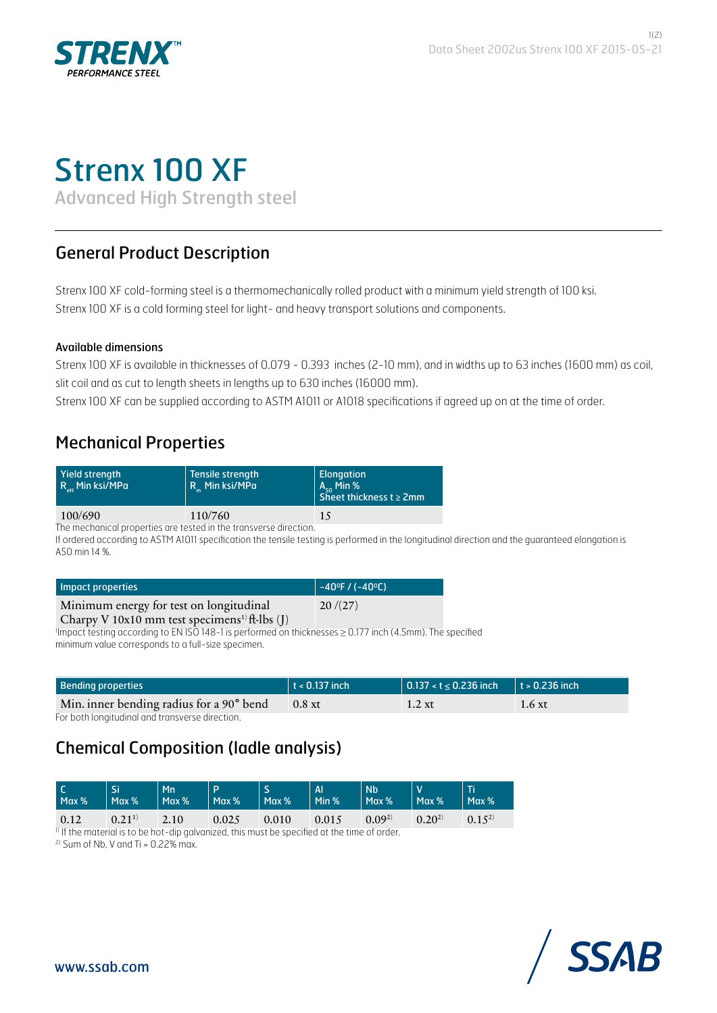

# Strenx 100 XF

Advanced High Strength steel

# General Product Description

Strenx 100 XF cold-forming steel is a thermomechanically rolled product with a minimum yield strength of 100 ksi. Strenx 100 XF is a cold forming steel for light- and heavy transport solutions and components.

#### Available dimensions

Strenx 100 XF is available in thicknesses of 0.079 - 0.393 inches (2-10 mm), and in widths up to 63 inches (1600 mm) as coil, slit coil and as cut to length sheets in lengths up to 630 inches (16000 mm).

Strenx 100 XF can be supplied according to ASTM A1011 or A1018 specifications if agreed up on at the time of order.

# Mechanical Properties

| Yield strength<br>$R_{\text{ab}}$ Min ksi/MPa | Tensile strength<br>R Min ksi/MPa | Elongation<br>$\vert$ A <sub>co</sub> Min %<br>Sheet thickness $t \ge 2$ mm |  |
|-----------------------------------------------|-----------------------------------|-----------------------------------------------------------------------------|--|
| 100/690                                       | 110/760                           | 15                                                                          |  |

The mechanical properties are tested in the transverse direction.

If ordered according to ASTM A1011 specification the tensile testing is performed in the longitudinal direction and the guaranteed elongation is A50 min 14 %.

| Impact properties                                                | $\vert -40^{\circ}$ F / (-40 $^{\circ}$ C) |
|------------------------------------------------------------------|--------------------------------------------|
| Minimum energy for test on longitudinal                          | 20/(27)                                    |
| Charny V 10x10 mm test specimens <sup>1)</sup> $\theta$ -lbs (I) |                                            |

Charpy V 10x10 mm test specimens<sup>1)</sup> ft-lbs (J)<br><sup>1</sup>Impact testing according to EN ISO 148-1 is performed on thicknesses ≥ 0.177 inch (4.5mm). The specified minimum value corresponds to a full-size specimen.

| <b>Bending properties</b>                | $\vert$ t < 0.137 inch | 0.137 < t ≤ 0.236 inch   t > 0.236 inch |                |
|------------------------------------------|------------------------|-----------------------------------------|----------------|
| Min. inner bending radius for a 90° bend | $0.8$ xt               | $1.2 \mathrm{xt}$                       | $1.6 \times t$ |

For both longitudinal and transverse direction.

# Chemical Composition (ladle analysis)

| Max % | Si.<br>$\vert$ Max % | Mn<br>$ $ Max % | <b>D</b><br>Max %   | Max %           | $\overline{A}$<br>$\parallel$ Min % | <b>N<sub>b</sub></b><br>$\vert$ Max % | $Max\%$    | l Ti<br>$Max\%$ |
|-------|----------------------|-----------------|---------------------|-----------------|-------------------------------------|---------------------------------------|------------|-----------------|
| 0.12  | $0.21^{1}$           | 2.10            | $\sim$ 0.025 $\sim$ | $\bigcup$ 0.010 | 0.015                               | $0.09^{2}$                            | $0.20^{2}$ | $0.15^{2}$      |

<sup>1)</sup> If the material is to be hot-dip galvanized, this must be specified at the time of order.

 $2)$  Sum of Nb, V and Ti = 0.22% max.